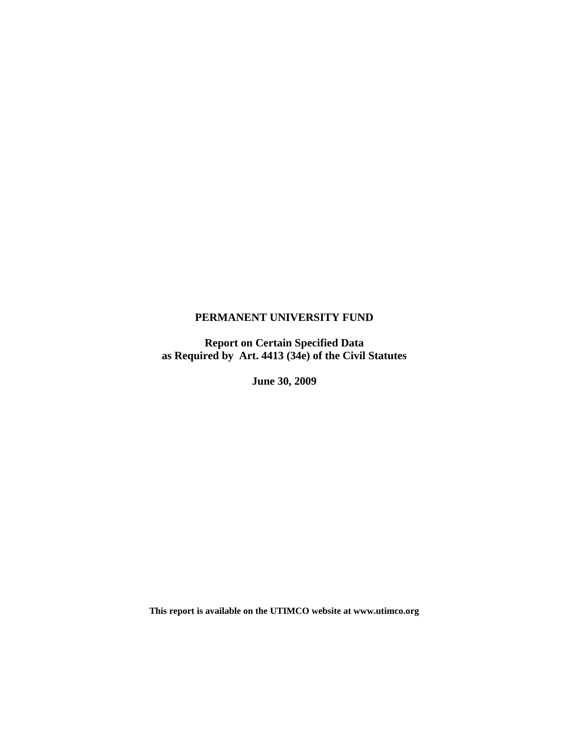# **PERMANENT UNIVERSITY FUND**

**Report on Certain Specified Data as Required by Art. 4413 (34e) of the Civil Statutes** 

**June 30, 2009** 

**This report is available on the UTIMCO website at www.utimco.org**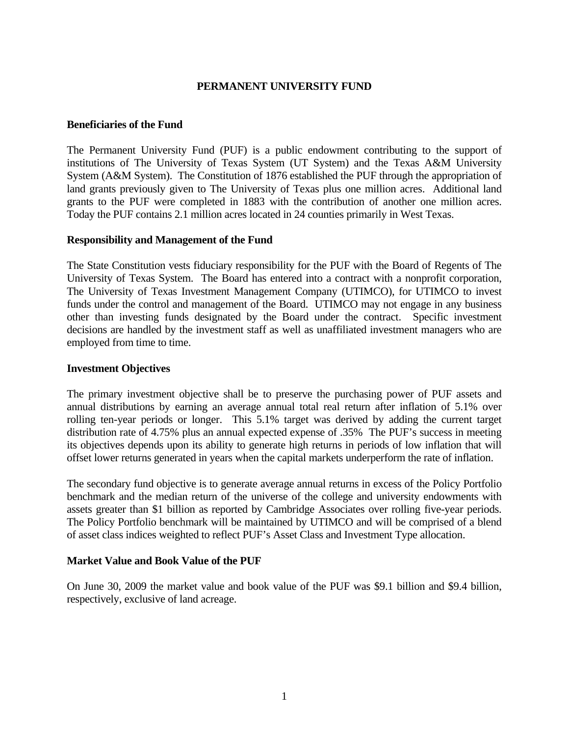# **PERMANENT UNIVERSITY FUND**

### **Beneficiaries of the Fund**

The Permanent University Fund (PUF) is a public endowment contributing to the support of institutions of The University of Texas System (UT System) and the Texas A&M University System (A&M System). The Constitution of 1876 established the PUF through the appropriation of land grants previously given to The University of Texas plus one million acres. Additional land grants to the PUF were completed in 1883 with the contribution of another one million acres. Today the PUF contains 2.1 million acres located in 24 counties primarily in West Texas.

### **Responsibility and Management of the Fund**

The State Constitution vests fiduciary responsibility for the PUF with the Board of Regents of The University of Texas System. The Board has entered into a contract with a nonprofit corporation, The University of Texas Investment Management Company (UTIMCO), for UTIMCO to invest funds under the control and management of the Board. UTIMCO may not engage in any business other than investing funds designated by the Board under the contract. Specific investment decisions are handled by the investment staff as well as unaffiliated investment managers who are employed from time to time.

#### **Investment Objectives**

The primary investment objective shall be to preserve the purchasing power of PUF assets and annual distributions by earning an average annual total real return after inflation of 5.1% over rolling ten-year periods or longer. This 5.1% target was derived by adding the current target distribution rate of 4.75% plus an annual expected expense of .35% The PUF's success in meeting its objectives depends upon its ability to generate high returns in periods of low inflation that will offset lower returns generated in years when the capital markets underperform the rate of inflation.

The secondary fund objective is to generate average annual returns in excess of the Policy Portfolio benchmark and the median return of the universe of the college and university endowments with assets greater than \$1 billion as reported by Cambridge Associates over rolling five-year periods. The Policy Portfolio benchmark will be maintained by UTIMCO and will be comprised of a blend of asset class indices weighted to reflect PUF's Asset Class and Investment Type allocation.

## **Market Value and Book Value of the PUF**

On June 30, 2009 the market value and book value of the PUF was \$9.1 billion and \$9.4 billion, respectively, exclusive of land acreage.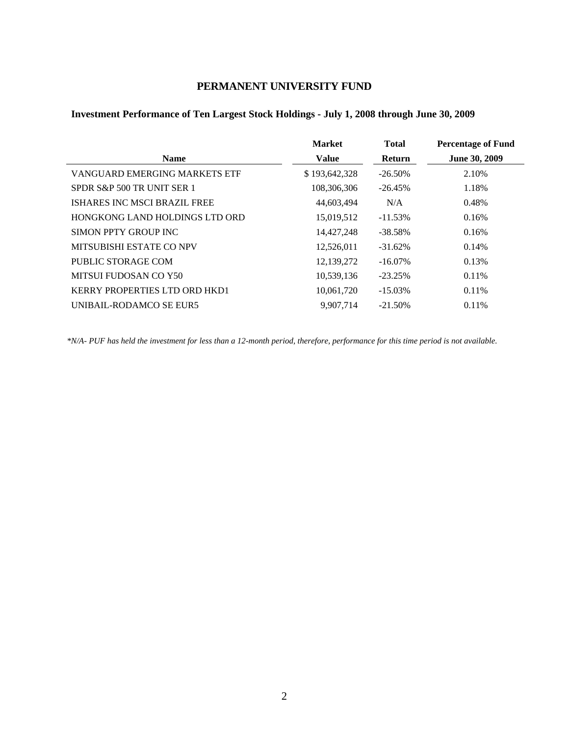# **PERMANENT UNIVERSITY FUND**

# **Investment Performance of Ten Largest Stock Holdings - July 1, 2008 through June 30, 2009**

|                                | <b>Market</b> | <b>Total</b>  | <b>Percentage of Fund</b> |
|--------------------------------|---------------|---------------|---------------------------|
| <b>Name</b>                    | <b>Value</b>  | <b>Return</b> | June 30, 2009             |
| VANGUARD EMERGING MARKETS ETF  | \$193,642,328 | $-26.50\%$    | 2.10%                     |
| SPDR S&P 500 TR UNIT SER 1     | 108,306,306   | $-26.45%$     | 1.18%                     |
| ISHARES INC MSCI BRAZIL FREE   | 44,603,494    | N/A           | 0.48%                     |
| HONGKONG LAND HOLDINGS LTD ORD | 15,019,512    | $-11.53%$     | 0.16%                     |
| SIMON PPTY GROUP INC           | 14,427,248    | $-38.58\%$    | 0.16%                     |
| MITSUBISHI ESTATE CO NPV       | 12,526,011    | $-31.62%$     | 0.14%                     |
| PUBLIC STORAGE COM             | 12,139,272    | $-16.07\%$    | 0.13%                     |
| MITSUI FUDOSAN CO Y50          | 10,539,136    | $-23.25%$     | 0.11%                     |
| KERRY PROPERTIES LTD ORD HKD1  | 10,061,720    | $-15.03\%$    | 0.11%                     |
| UNIBAIL-RODAMCO SE EUR5        | 9.907.714     | $-21.50\%$    | $0.11\%$                  |

*\*N/A- PUF has held the investment for less than a 12-month period, therefore, performance for this time period is not available.*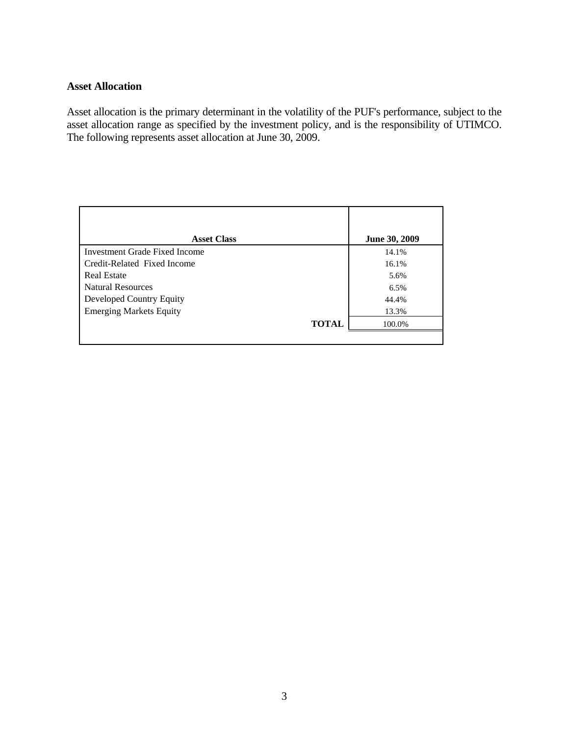### **Asset Allocation**

Asset allocation is the primary determinant in the volatility of the PUF's performance, subject to the asset allocation range as specified by the investment policy, and is the responsibility of UTIMCO. The following represents asset allocation at June 30, 2009.

| <b>Asset Class</b>                   | June 30, 2009 |
|--------------------------------------|---------------|
| <b>Investment Grade Fixed Income</b> | 14.1%         |
| Credit-Related Fixed Income          | 16.1%         |
| <b>Real Estate</b>                   | 5.6%          |
| <b>Natural Resources</b>             | 6.5%          |
| Developed Country Equity             | 44.4%         |
| <b>Emerging Markets Equity</b>       | 13.3%         |
| <b>TOTAL</b>                         | 100.0%        |
|                                      |               |